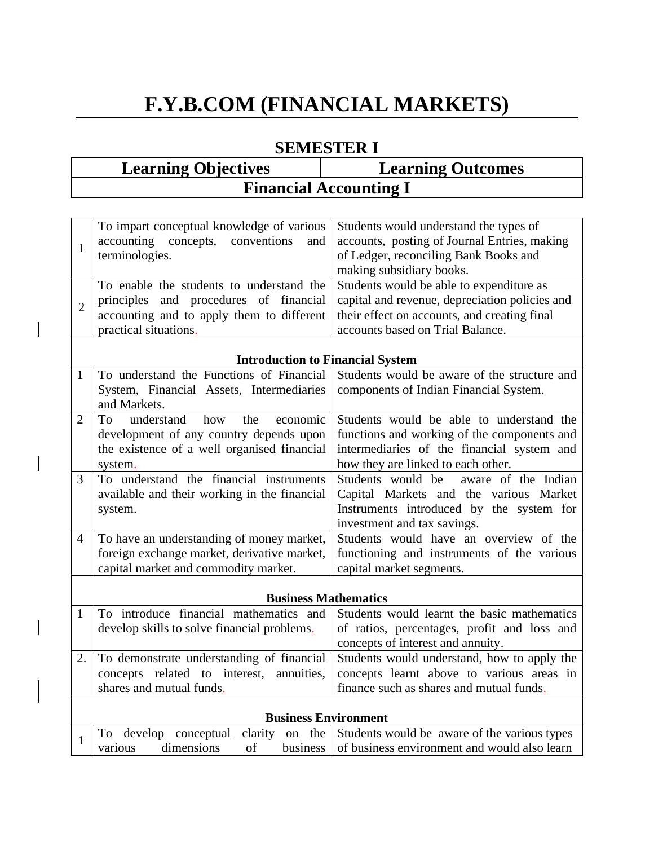# **F.Y.B.COM (FINANCIAL MARKETS)**

## **SEMESTER I**

| <b>Learning Objectives</b> | <b>Learning Outcomes</b>      |
|----------------------------|-------------------------------|
|                            | <b>Financial Accounting I</b> |

| To impart conceptual knowledge of various   Students would understand the types of<br>accounting concepts, conventions<br>and<br>terminologies.                                                                                                | accounts, posting of Journal Entries, making<br>of Ledger, reconciling Bank Books and<br>making subsidiary books. |
|------------------------------------------------------------------------------------------------------------------------------------------------------------------------------------------------------------------------------------------------|-------------------------------------------------------------------------------------------------------------------|
| To enable the students to understand the Students would be able to expenditure as<br>principles and procedures of financial<br>accounting and to apply them to different their effect on accounts, and creating final<br>practical situations. | capital and revenue, depreciation policies and<br>accounts based on Trial Balance.                                |

### **Introduction to Financial System**

|                | To understand the Functions of Financial     | Students would be aware of the structure and |  |  |  |  |
|----------------|----------------------------------------------|----------------------------------------------|--|--|--|--|
|                | System, Financial Assets, Intermediaries     | components of Indian Financial System.       |  |  |  |  |
|                | and Markets.                                 |                                              |  |  |  |  |
| 2              | understand<br>economic<br>To<br>how<br>the   | Students would be able to understand the     |  |  |  |  |
|                | development of any country depends upon      | functions and working of the components and  |  |  |  |  |
|                | the existence of a well organised financial  | intermediaries of the financial system and   |  |  |  |  |
|                | system.                                      | how they are linked to each other.           |  |  |  |  |
| 3              | To understand the financial instruments      | Students would be aware of the Indian        |  |  |  |  |
|                | available and their working in the financial | Capital Markets and the various Market       |  |  |  |  |
|                | system.                                      | Instruments introduced by the system for     |  |  |  |  |
|                |                                              | investment and tax savings.                  |  |  |  |  |
| $\overline{4}$ | To have an understanding of money market,    | Students would have an overview of the       |  |  |  |  |
|                | foreign exchange market, derivative market,  | functioning and instruments of the various   |  |  |  |  |
|                | capital market and commodity market.         | capital market segments.                     |  |  |  |  |
|                |                                              |                                              |  |  |  |  |
|                | <b>Business Mathematics</b>                  |                                              |  |  |  |  |

#### **Business Mathematics**

|                                             | To introduce financial mathematics and   Students would learnt the basic mathematics     |
|---------------------------------------------|------------------------------------------------------------------------------------------|
| develop skills to solve financial problems. | of ratios, percentages, profit and loss and                                              |
|                                             | concepts of interest and annuity.                                                        |
|                                             | 2. To demonstrate understanding of financial Students would understand, how to apply the |
|                                             | concepts related to interest, annuities, concepts learnt above to various areas in       |
| shares and mutual funds.                    | finance such as shares and mutual funds.                                                 |
|                                             |                                                                                          |

| <b>Business Environment</b> |  |    |  |                                                       |                                                                                   |
|-----------------------------|--|----|--|-------------------------------------------------------|-----------------------------------------------------------------------------------|
|                             |  |    |  |                                                       | To develop conceptual clarity on the Students would be aware of the various types |
| dimensions<br>various       |  | οf |  | business of business environment and would also learn |                                                                                   |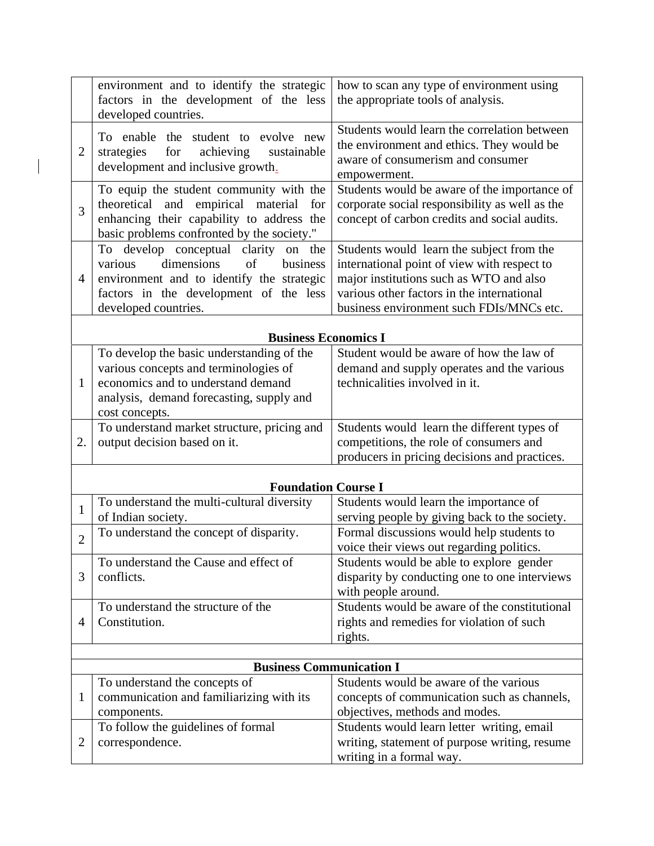|                | environment and to identify the strategic<br>factors in the development of the less<br>developed countries.                                                                                    | how to scan any type of environment using<br>the appropriate tools of analysis.                                                                                                                                               |  |  |  |  |
|----------------|------------------------------------------------------------------------------------------------------------------------------------------------------------------------------------------------|-------------------------------------------------------------------------------------------------------------------------------------------------------------------------------------------------------------------------------|--|--|--|--|
| $\overline{2}$ | To enable the student to evolve new<br>achieving<br>strategies<br>for<br>sustainable<br>development and inclusive growth.                                                                      | Students would learn the correlation between<br>the environment and ethics. They would be<br>aware of consumerism and consumer<br>empowerment.                                                                                |  |  |  |  |
| $\overline{3}$ | To equip the student community with the<br>theoretical and<br>empirical<br>material<br>for<br>enhancing their capability to address the<br>basic problems confronted by the society."          | Students would be aware of the importance of<br>corporate social responsibility as well as the<br>concept of carbon credits and social audits.                                                                                |  |  |  |  |
| 4              | To develop conceptual clarity on the<br>dimensions<br>of<br>various<br>business<br>environment and to identify the strategic<br>factors in the development of the less<br>developed countries. | Students would learn the subject from the<br>international point of view with respect to<br>major institutions such as WTO and also<br>various other factors in the international<br>business environment such FDIs/MNCs etc. |  |  |  |  |
|                | <b>Business Economics I</b>                                                                                                                                                                    |                                                                                                                                                                                                                               |  |  |  |  |
| 1              | To develop the basic understanding of the<br>various concepts and terminologies of<br>economics and to understand demand<br>analysis, demand forecasting, supply and<br>cost concepts.         | Student would be aware of how the law of<br>demand and supply operates and the various<br>technicalities involved in it.                                                                                                      |  |  |  |  |
| 2.             | To understand market structure, pricing and<br>output decision based on it.                                                                                                                    | Students would learn the different types of<br>competitions, the role of consumers and<br>producers in pricing decisions and practices.                                                                                       |  |  |  |  |
|                | <b>Foundation Course I</b>                                                                                                                                                                     |                                                                                                                                                                                                                               |  |  |  |  |
| $\mathbf{1}$   | To understand the multi-cultural diversity<br>of Indian society.                                                                                                                               | Students would learn the importance of<br>serving people by giving back to the society.                                                                                                                                       |  |  |  |  |
| $\overline{2}$ | To understand the concept of disparity.                                                                                                                                                        | Formal discussions would help students to<br>voice their views out regarding politics.                                                                                                                                        |  |  |  |  |
| 3              | To understand the Cause and effect of<br>conflicts.                                                                                                                                            | Students would be able to explore gender<br>disparity by conducting one to one interviews<br>with people around.                                                                                                              |  |  |  |  |
| 4              | To understand the structure of the<br>Constitution.                                                                                                                                            | Students would be aware of the constitutional<br>rights and remedies for violation of such<br>rights.                                                                                                                         |  |  |  |  |
|                | <b>Business Communication I</b>                                                                                                                                                                |                                                                                                                                                                                                                               |  |  |  |  |
| 1              | To understand the concepts of<br>communication and familiarizing with its<br>components.                                                                                                       | Students would be aware of the various<br>concepts of communication such as channels,<br>objectives, methods and modes.                                                                                                       |  |  |  |  |
| $\overline{2}$ | To follow the guidelines of formal<br>correspondence.                                                                                                                                          | Students would learn letter writing, email<br>writing, statement of purpose writing, resume<br>writing in a formal way.                                                                                                       |  |  |  |  |

 $\begin{array}{c} \hline \end{array}$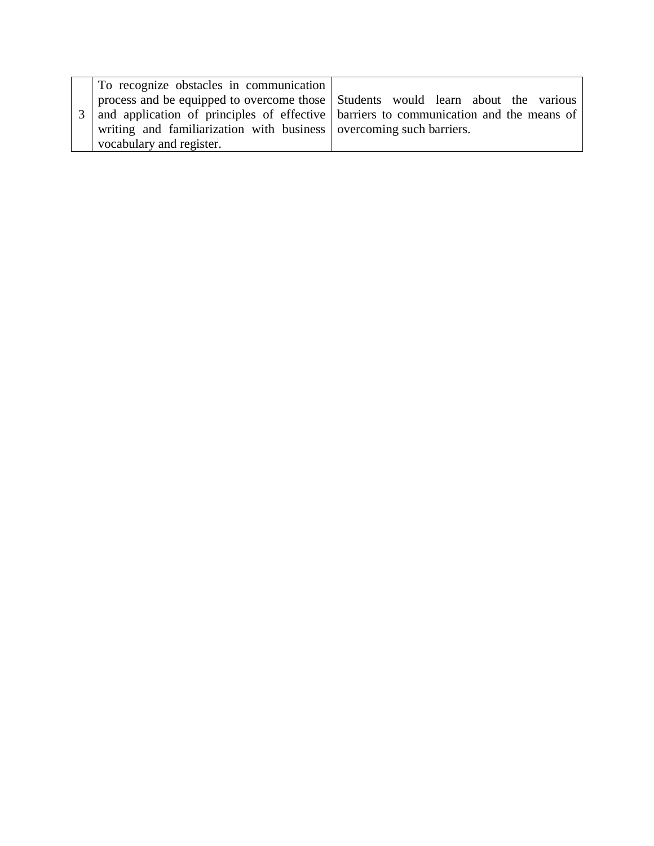| To recognize obstacles in communication                             |                                                                                         |
|---------------------------------------------------------------------|-----------------------------------------------------------------------------------------|
|                                                                     | process and be equipped to overcome those Students would learn about the various        |
|                                                                     | 3 and application of principles of effective barriers to communication and the means of |
| writing and familiarization with business overcoming such barriers. |                                                                                         |
| vocabulary and register.                                            |                                                                                         |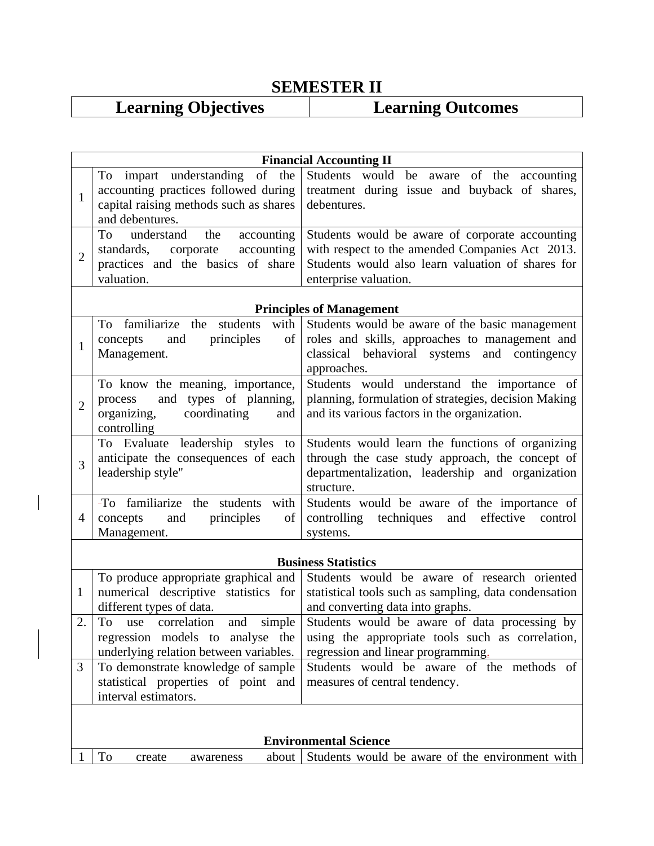# **SEMESTER II**<br>Learning Objectives L

 $\overline{\phantom{a}}$ 

# **Learning Outcomes**

|                  | <b>Financial Accounting II</b>                                                                                                      |                                                                                                                                                                                  |  |  |  |
|------------------|-------------------------------------------------------------------------------------------------------------------------------------|----------------------------------------------------------------------------------------------------------------------------------------------------------------------------------|--|--|--|
| $\mathbf{1}$     | To impart understanding of the<br>accounting practices followed during<br>capital raising methods such as shares<br>and debentures. | Students would be aware of the accounting<br>treatment during issue and buyback of shares,<br>debentures.                                                                        |  |  |  |
| $\overline{2}$   | To<br>understand<br>the<br>accounting<br>standards,<br>accounting<br>corporate<br>practices and the basics of share<br>valuation.   | Students would be aware of corporate accounting<br>with respect to the amended Companies Act 2013.<br>Students would also learn valuation of shares for<br>enterprise valuation. |  |  |  |
|                  |                                                                                                                                     | <b>Principles of Management</b>                                                                                                                                                  |  |  |  |
| $\mathbf{1}$     | students<br>To<br>familiarize the<br>with<br>principles<br>of<br>concepts<br>and<br>Management.                                     | Students would be aware of the basic management<br>roles and skills, approaches to management and<br>classical behavioral systems<br>and contingency<br>approaches.              |  |  |  |
| $\overline{2}$   | To know the meaning, importance,<br>and types of planning,<br>process<br>organizing,<br>coordinating<br>and<br>controlling          | Students would understand the importance of<br>planning, formulation of strategies, decision Making<br>and its various factors in the organization.                              |  |  |  |
| $\overline{3}$   | To Evaluate leadership styles<br>to<br>anticipate the consequences of each<br>leadership style"                                     | Students would learn the functions of organizing<br>through the case study approach, the concept of<br>departmentalization, leadership and organization<br>structure.            |  |  |  |
| $\overline{4}$   | -To familiarize<br>the students<br>with<br>concepts<br>and<br>principles<br>of<br>Management.                                       | Students would be aware of the importance of<br>controlling techniques<br>effective<br>and<br>control<br>systems.                                                                |  |  |  |
|                  |                                                                                                                                     | <b>Business Statistics</b>                                                                                                                                                       |  |  |  |
| $\mathbf{1}$     | To produce appropriate graphical and<br>numerical descriptive statistics for<br>different types of data.                            | Students would be aware of research oriented<br>statistical tools such as sampling, data condensation<br>and converting data into graphs.                                        |  |  |  |
| $\overline{2}$ . | simple<br>To use correlation and<br>regression models to analyse the<br>underlying relation between variables.                      | Students would be aware of data processing by<br>using the appropriate tools such as correlation,<br>regression and linear programming.                                          |  |  |  |
| 3                | To demonstrate knowledge of sample<br>statistical properties of point and<br>interval estimators.                                   | Students would be aware of the methods of<br>measures of central tendency.                                                                                                       |  |  |  |
|                  |                                                                                                                                     |                                                                                                                                                                                  |  |  |  |
|                  | <b>Environmental Science</b>                                                                                                        |                                                                                                                                                                                  |  |  |  |
|                  | To<br>about<br>create<br>awareness                                                                                                  | Students would be aware of the environment with                                                                                                                                  |  |  |  |